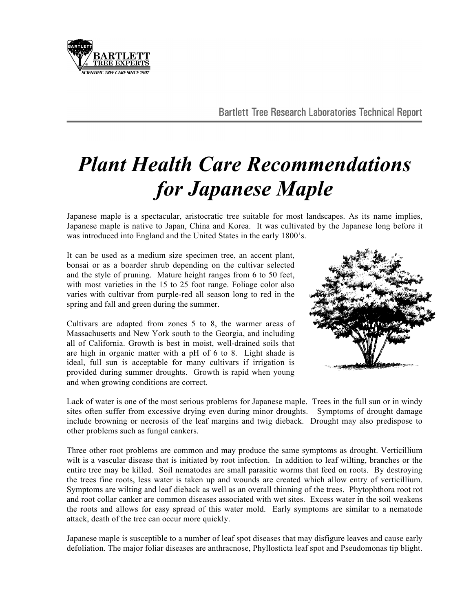

## *Plant Health Care Recommendations for Japanese Maple*

Japanese maple is a spectacular, aristocratic tree suitable for most landscapes. As its name implies, Japanese maple is native to Japan, China and Korea. It was cultivated by the Japanese long before it was introduced into England and the United States in the early 1800's.

It can be used as a medium size specimen tree, an accent plant, bonsai or as a boarder shrub depending on the cultivar selected and the style of pruning. Mature height ranges from 6 to 50 feet, with most varieties in the 15 to 25 foot range. Foliage color also varies with cultivar from purple-red all season long to red in the spring and fall and green during the summer.

Cultivars are adapted from zones 5 to 8, the warmer areas of Massachusetts and New York south to the Georgia, and including all of California. Growth is best in moist, well-drained soils that are high in organic matter with a pH of 6 to 8. Light shade is ideal, full sun is acceptable for many cultivars if irrigation is provided during summer droughts. Growth is rapid when young and when growing conditions are correct.



Lack of water is one of the most serious problems for Japanese maple. Trees in the full sun or in windy sites often suffer from excessive drying even during minor droughts. Symptoms of drought damage include browning or necrosis of the leaf margins and twig dieback. Drought may also predispose to other problems such as fungal cankers.

Three other root problems are common and may produce the same symptoms as drought. Verticillium wilt is a vascular disease that is initiated by root infection. In addition to leaf wilting, branches or the entire tree may be killed. Soil nematodes are small parasitic worms that feed on roots. By destroying the trees fine roots, less water is taken up and wounds are created which allow entry of verticillium. Symptoms are wilting and leaf dieback as well as an overall thinning of the trees. Phytophthora root rot and root collar canker are common diseases associated with wet sites. Excess water in the soil weakens the roots and allows for easy spread of this water mold. Early symptoms are similar to a nematode attack, death of the tree can occur more quickly.

Japanese maple is susceptible to a number of leaf spot diseases that may disfigure leaves and cause early defoliation. The major foliar diseases are anthracnose, Phyllosticta leaf spot and Pseudomonas tip blight.